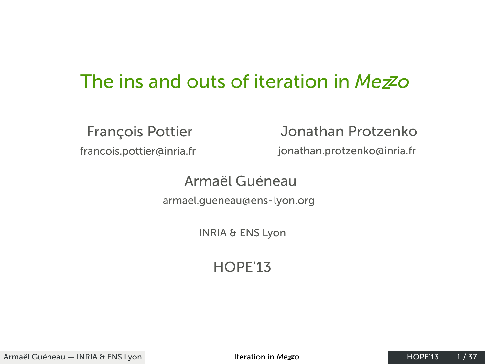## The ins and outs of iteration in *Mezzo*

François Pottier francois.pottier@inria.fr

Jonathan Protzenko jonathan.protzenko@inria.fr

#### Armaël Guéneau

armael.gueneau@ens-lyon.org

INRIA & ENS Lyon

HOPE'13

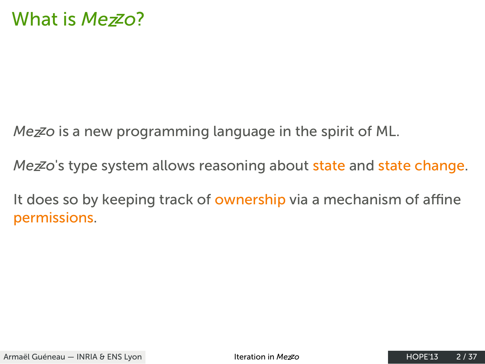### What is *Mezzo*?

*Mezzo* is a new programming language in the spirit of ML.

*Mezzo*'s type system allows reasoning about state and state change.

It does so by keeping track of ownership via a mechanism of affine permissions.

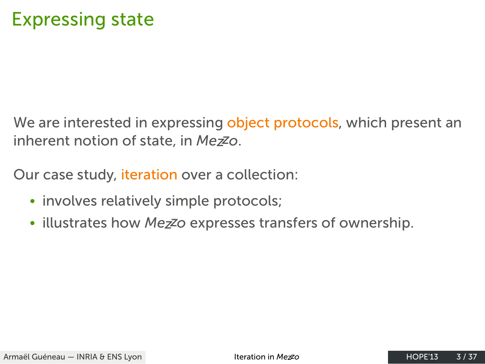#### Expressing state

We are interested in expressing object protocols, which present an inherent notion of state, in *Mezzo*.

Our case study, iteration over a collection:

- involves relatively simple protocols;
- illustrates how *Mezzo* expresses transfers of ownership.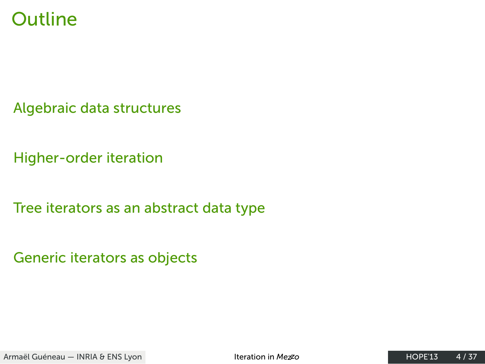## Outline

Algebraic data structures

Higher-order iteration

Tree iterators as an abstract data type

Generic iterators as objects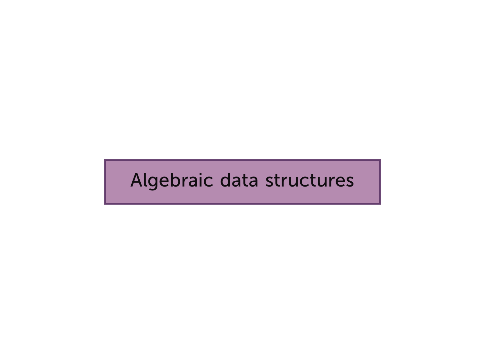### Algebraic data structures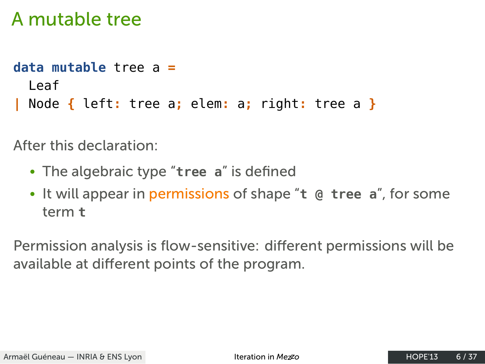#### A mutable tree

```
data mutable tree a =
 Leaf
| Node { left: tree a; elem: a; right: tree a }
```
After this declaration:

- The algebraic type "**tree a**" is defined
- It will appear in permissions of shape "**t @ tree a**", for some term **t**

Permission analysis is flow-sensitive: different permissions will be available at different points of the program.

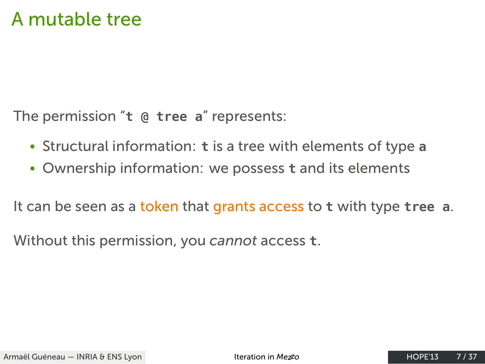### A mutable tree

The permission "**t @ tree a**" represents:

- Structural information: **t** is a tree with elements of type **a**
- Ownership information: we possess **t** and its elements

It can be seen as a token that grants access to **t** with type **tree a**.

Without this permission, you *cannot* access **t**.

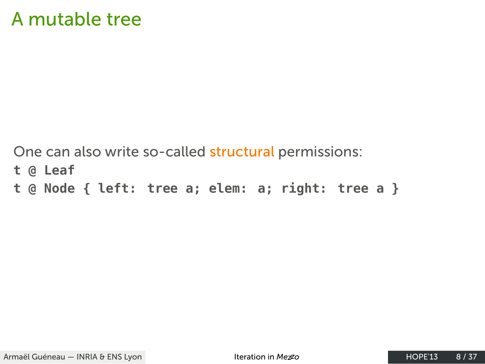### A mutable tree

One can also write so-called structural permissions: t @ Leaf t @ Node { left: tree a; elem: a; right: tree a }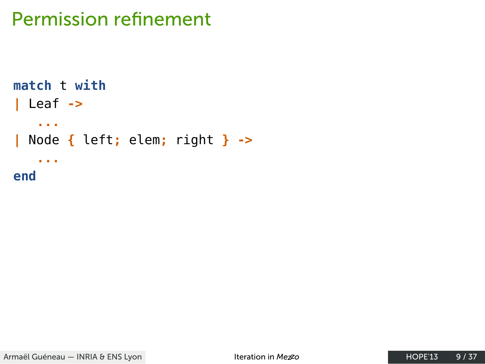```
match t with
| Leaf \rightarrow\sim 10^7| Node { left; elem; right } ->
   \sim 10end
```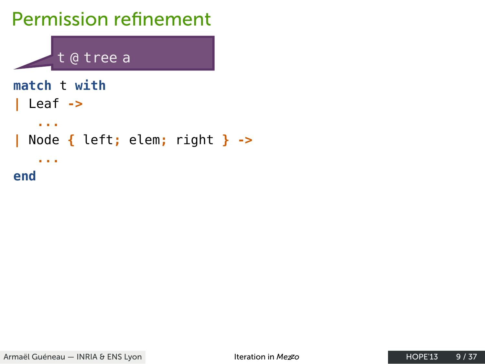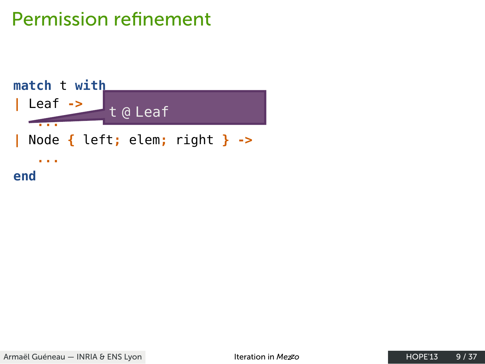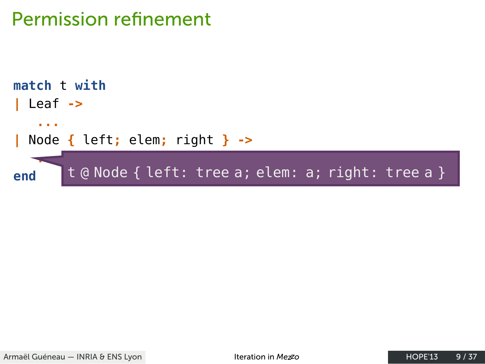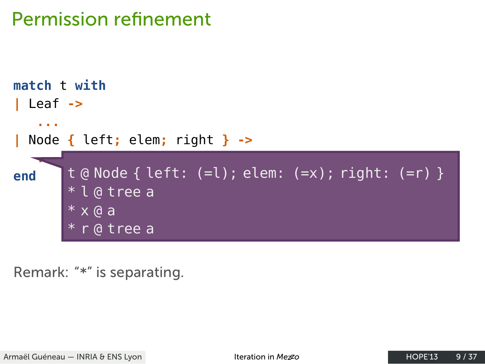

Remark: "\*" is separating.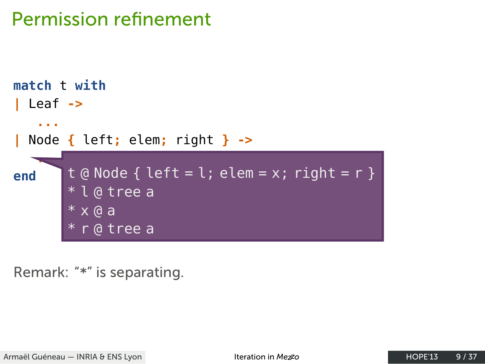

Remark: "\*" is separating.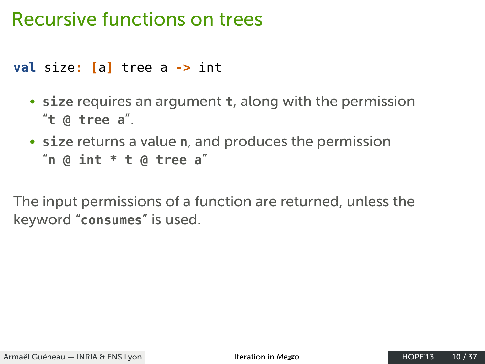### Recursive functions on trees

**val** size**: [**a**]** tree a **->** int

- **size** requires an argument **t**, along with the permission "**t @ tree a**".
- **size** returns a value **n**, and produces the permission "**n @ int \* t @ tree a**"

The input permissions of a function are returned, unless the keyword "**consumes**" is used.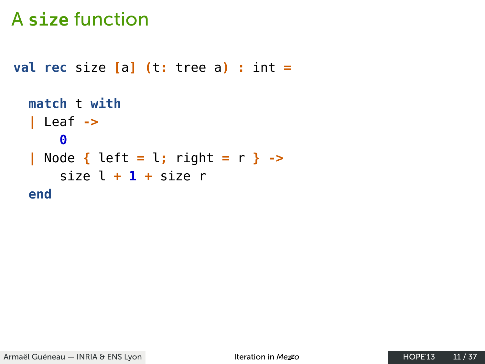```
val rec size [a] (t: tree a) : int =
  match t with
  | Leaf \rightarrow\bullet| Node { left = l; right = r } ->
      size l + 1 + size r
  end
```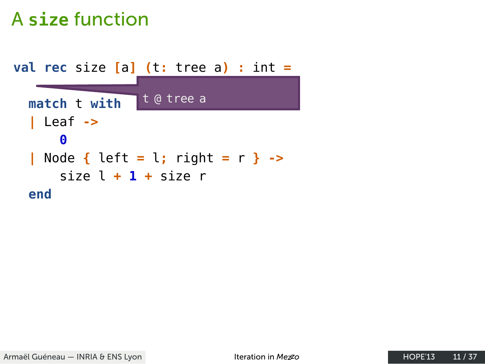**val rec** size **[**a**] (**t**:** tree a**) :** int **=** . **match** t **with** t @ tree a **|** Leaf **-> 0 |** Node **{** left **=** l**;** right **=** r **} ->** . size l **+ 1 +** size r **end**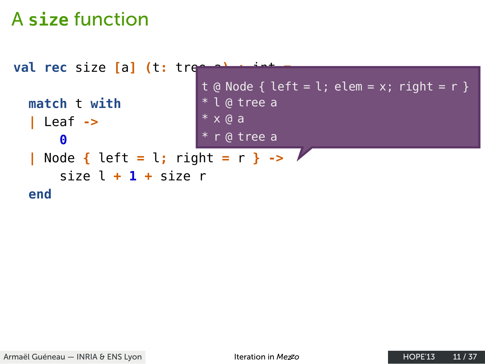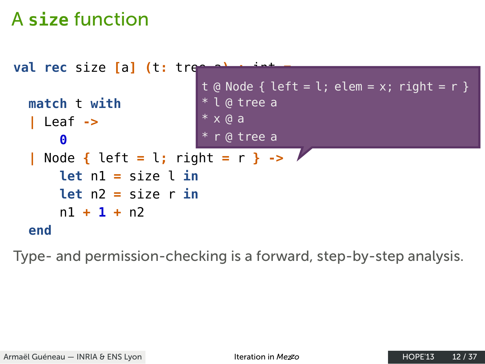

Type- and permission-checking is a forward, step-by-step analysis.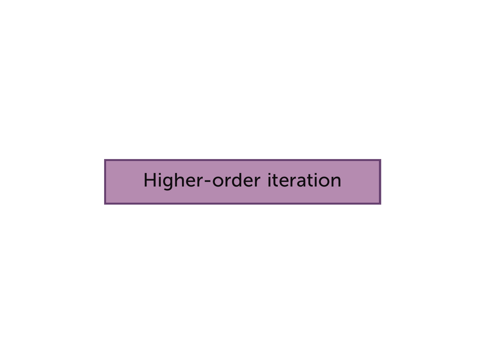### Higher-order iteration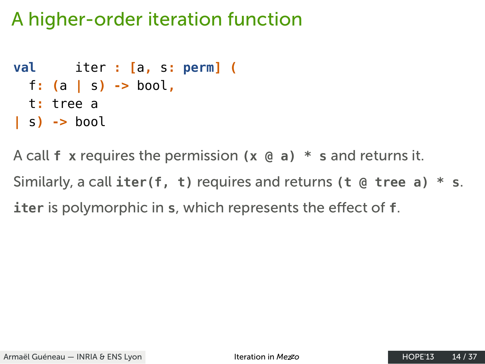#### A higher-order iteration function

```
val iter : [a, s: perm] (
 f: (a | s) -> bool,
 t: tree a
| s) -> bool
```
A call **f x** requires the permission **(x @ a) \* s** and returns it. Similarly, a call **iter(f, t)** requires and returns **(t @ tree a) \* s**. **iter** is polymorphic in **s**, which represents the effect of **f**.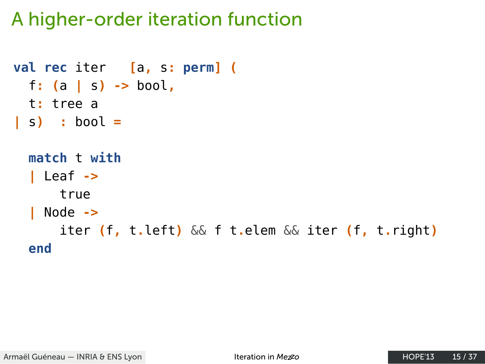### A higher-order iteration function

```
val rec iter [a, s: perm] (
  f: (a | s) -> bool,
  t: tree a
| s \rangle : bool =
  match t with
  | Leaf \rightarrowtrue
  \vert Node ->
       iter (f, t.left) && f t.elem && iter (f, t.right)
  end
```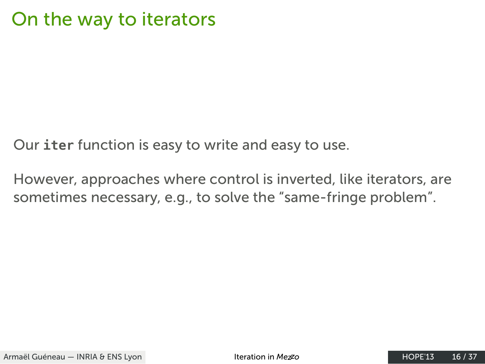#### On the way to iterators

Our **iter** function is easy to write and easy to use.

However, approaches where control is inverted, like iterators, are sometimes necessary, e.g., to solve the "same-fringe problem".

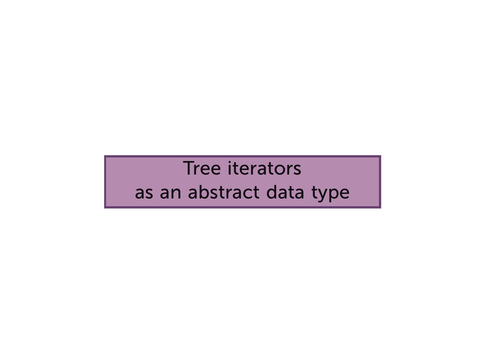Tree iterators

#### as an abstract data type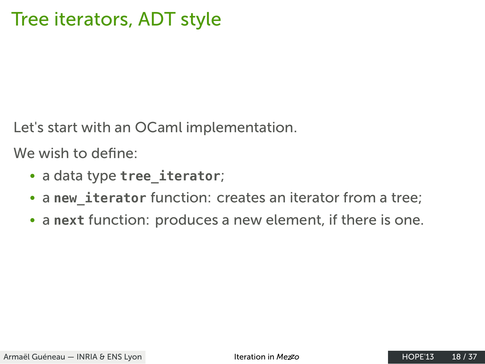### Tree iterators, ADT style

Let's start with an OCaml implementation.

We wish to define:

- a data type **tree\_iterator**;
- a **new\_iterator** function: creates an iterator from a tree;
- a **next** function: produces a new element, if there is one.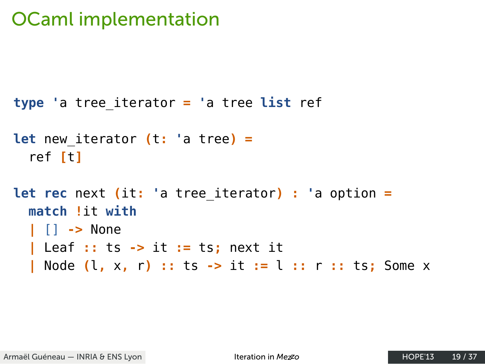## **OCaml implementation**

```
type 'a tree_iterator = 'a tree list ref
let new_iterator (t: 'a tree) =
  ref [t]
let rec next (it: 'a tree_iterator) : 'a option =
  match !it with
  \vert \vert \vert \rightarrow None
  | Leaf :: ts -> it := ts; next it
  | Node (l, x, r) :: ts -> it := l :: r :: ts; Some x
```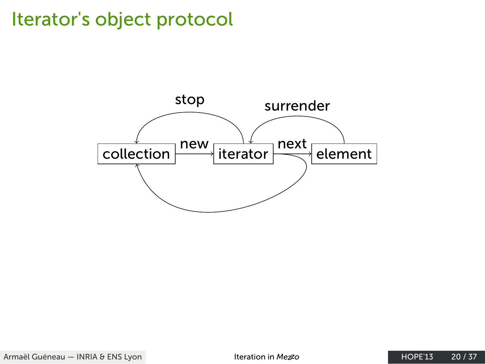# Iterator's object protocol



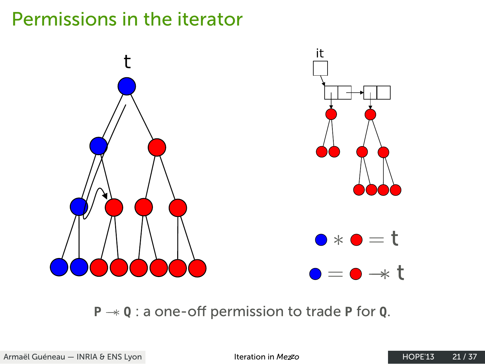## Permissions in the iterator



**<sup>P</sup>** *−−∗* **<sup>Q</sup>** : a one-off permission to trade **<sup>P</sup>** for **<sup>Q</sup>**.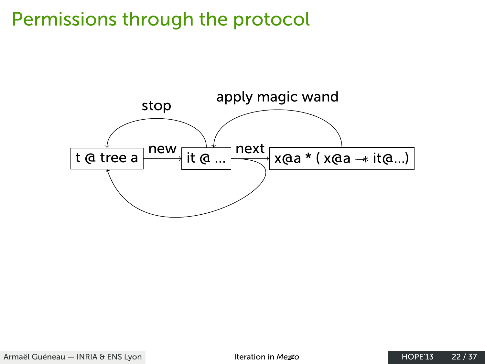## Permissions through the protocol

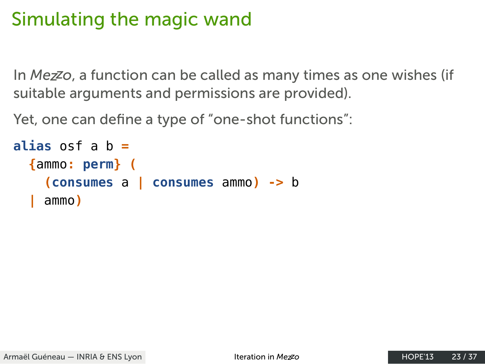#### Simulating the magic wand

In *Mezzo*, a function can be called as many times as one wishes (if suitable arguments and permissions are provided).

Yet, one can define a type of "one-shot functions":

```
alias osf a b =
  {ammo: perm} (
    (consumes a | consumes ammo) -> b
  | ammo)
```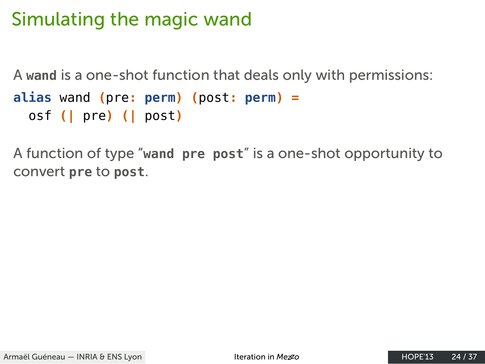#### Simulating the magic wand

A **wand** is a one-shot function that deals only with permissions:

```
alias wand (pre: perm) (post: perm) =
  osf (| pre) (| post)
```
A function of type "**wand pre post**" is a one-shot opportunity to convert **pre** to **post**.

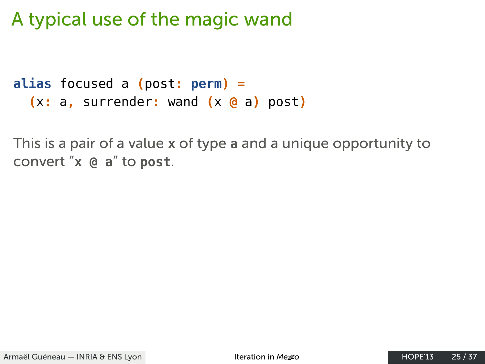### A typical use of the magic wand

```
alias focused a (post: perm) =
  (x: a, surrender: wand (x @ a) post)
```
This is a pair of a value **x** of type **a** and a unique opportunity to convert "**x @ a**" to **post**.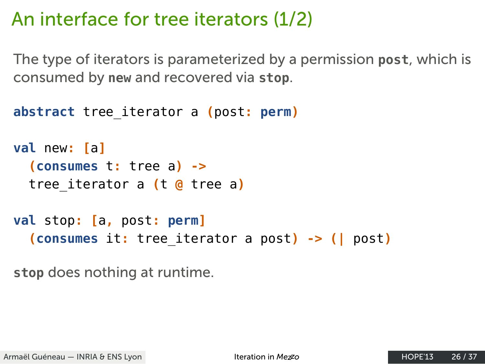#### An interface for tree iterators (1/2)

The type of iterators is parameterized by a permission **post**, which is consumed by **new** and recovered via **stop**.

```
abstract tree_iterator a (post: perm)
val new: [a]
  (consumes t: tree a) ->
  tree_iterator a (t @ tree a)
val stop: [a, post: perm]
  (consumes it: tree_iterator a post) -> (| post)
stop does nothing at runtime.
```
Armaël Guéneau – INRIA & ENS Lyon **Interation in** *Mez***zo HOPE'13** 26 / 37

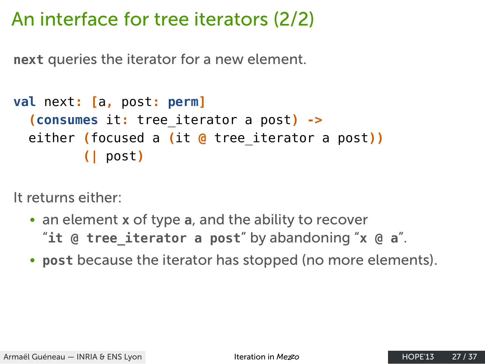#### An interface for tree iterators (2/2)

**next** queries the iterator for a new element.

```
val next: [a, post: perm]
  (consumes it: tree_iterator a post) ->
  either (focused a (it @ tree_iterator a post))
         (| post)
```
It returns either:

- an element **x** of type **a**, and the ability to recover "**it @ tree\_iterator a post**" by abandoning "**x @ a**".
- **post** because the iterator has stopped (no more elements).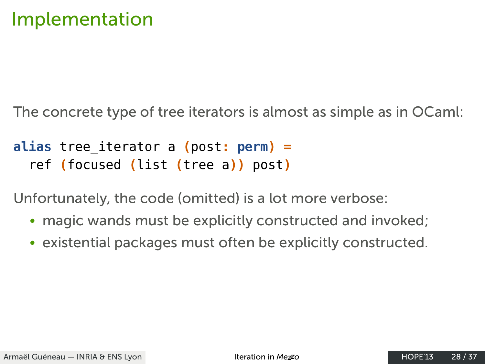#### Implementation

The concrete type of tree iterators is almost as simple as in OCaml:

#### **alias** tree\_iterator a **(**post**: perm) =** ref **(**focused **(**list **(**tree a**))** post**)**

Unfortunately, the code (omitted) is a lot more verbose:

- magic wands must be explicitly constructed and invoked;
- existential packages must often be explicitly constructed.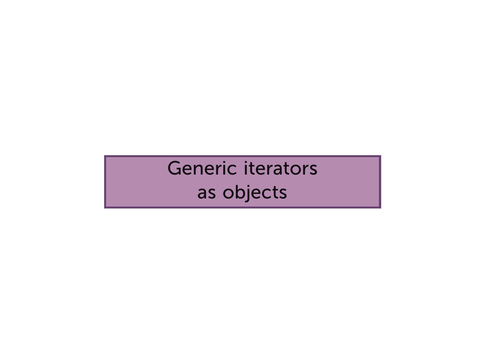## Generic iterators as objects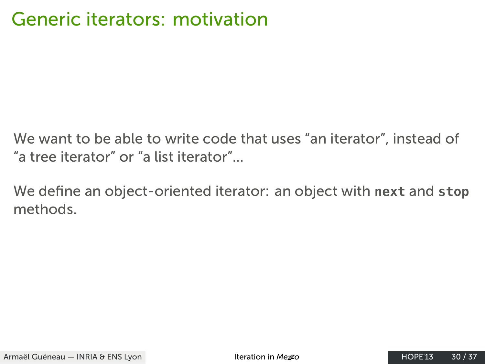### Generic iterators: motivation

We want to be able to write code that uses "an iterator", instead of "a tree iterator" or "a list iterator"...

We define an object-oriented iterator: an object with **next** and **stop** methods.

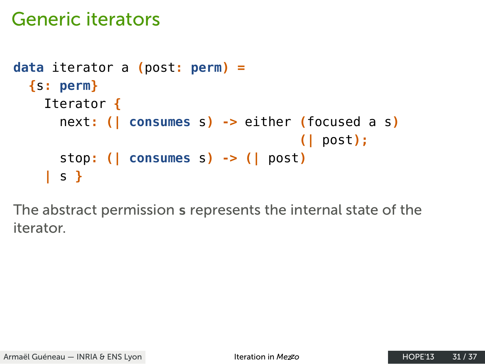### Generic iterators

```
data iterator a (post: perm) =
  {s: perm}
    Iterator {
      next: (| consumes s) -> either (focused a s)
                                     (| post);
      stop: (| consumes s) -> (| post)
    | s }
```
The abstract permission **s** represents the internal state of the iterator.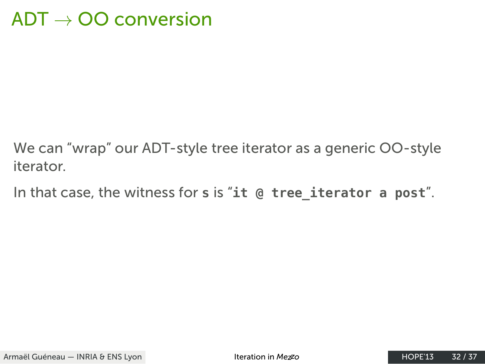### $ADT \rightarrow OO$  conversion

We can "wrap" our ADT-style tree iterator as a generic OO-style iterator.

In that case, the witness for s is "it @ tree\_iterator a post".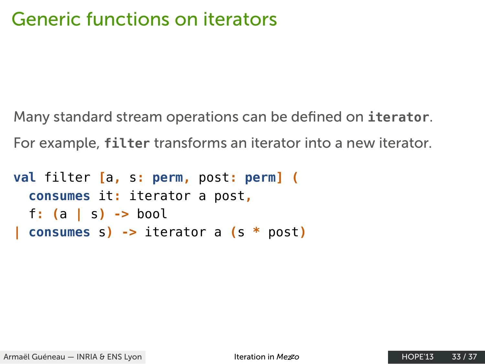### Generic functions on iterators

Many standard stream operations can be defined on **iterator**. For example, **filter** transforms an iterator into a new iterator.

```
val filter [a, s: perm, post: perm] (
  consumes it: iterator a post,
  f: (a | s) -> bool
| consumes s) -> iterator a (s * post)
```
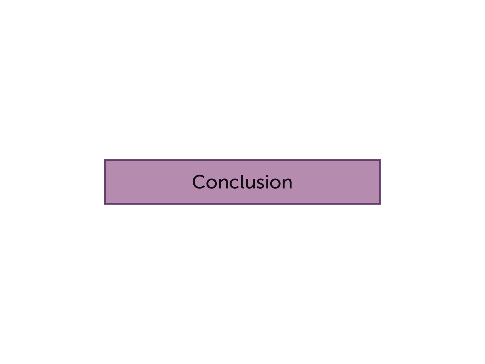### Conclusion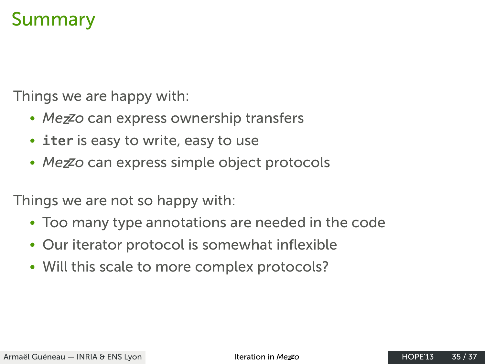#### Summary

Things we are happy with:

- *Mezzo* can express ownership transfers
- **iter** is easy to write, easy to use
- *Mezzo* can express simple object protocols

Things we are not so happy with:

- Too many type annotations are needed in the code
- Our iterator protocol is somewhat inflexible
- Will this scale to more complex protocols?

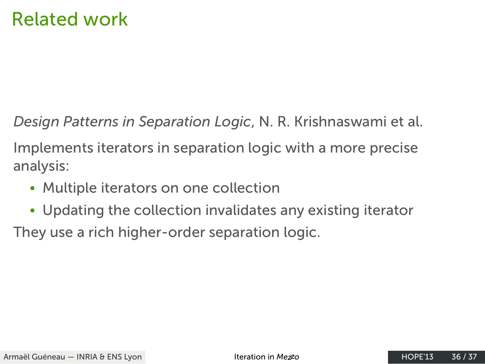### Related work

*Design Patterns in Separation Logic*, N. R. Krishnaswami et al.

Implements iterators in separation logic with a more precise analysis:

- Multiple iterators on one collection
- Updating the collection invalidates any existing iterator

They use a rich higher-order separation logic.